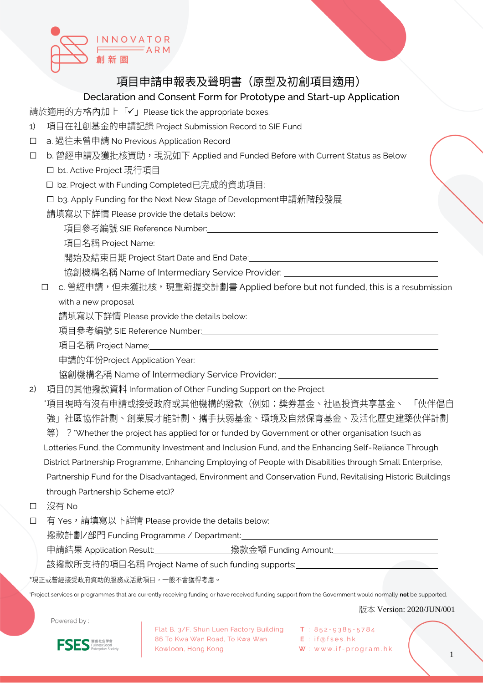

## 項目申請申報表及聲明書(原型及初創項目適用)

## Declaration and Consent Form for Prototype and Start-up Application

請於適用的方格內加上「✔」Please tick the appropriate boxes.

- 1) 項目在社創基金的申請記錄 Project Submission Record to SIE Fund
- □ a. 過往未曾申請 No Previous Application Record
- □ b. 曾經申請及獲批核資助,現況如下 Applied and Funded Before with Current Status as Below
	- □ b1. Active Project 現行項目
	- □ b2. Project with Funding Completed已完成的資助項目;
	- □ b3. Apply Funding for the Next New Stage of Development申請新階段發展

請填寫以下詳情 Please provide the details below:

項目參考編號 SIE Reference Number:

項目名稱 Project Name:

開始及結束日期 Project Start Date and End Date:

協創機構名稱 Name of Intermediary Service Provider:

□ c. 曾經申請,但未獲批核,現重新提交計劃書 Applied before but not funded, this is a resubmission with a new proposal

請填寫以下詳情 Please provide the details below:

項目參考編號 SIE Reference Number:

項目名稱 Project Name:

申請的年份Project Application Year:

協創機構名稱 Name of Intermediary Service Provider: \_

2) 項目的其他撥款資料 Information of Other Funding Support on the Project

\*項目現時有沒有申請或接受政府或其他機構的撥款(例如:獎券基金、社區投資共享基金、 「伙伴倡自 強」社區協作計劃、創業展才能計劃、攜手扶弱基金、環境及自然保育基金、及活化歷史建築伙伴計劃

等) ? 'Whether the project has applied for or funded by Government or other organisation (such as

Lotteries Fund, the Community Investment and Inclusion Fund, and the Enhancing Self-Reliance Through

District Partnership Programme, Enhancing Employing of People with Disabilities through Small Enterprise,

Partnership Fund for the Disadvantaged, Environment and Conservation Fund, Revitalising Historic Buildings through Partnership Scheme etc)?

□ 沒有 No

□ 有 Yes, 請填寫以下詳情 Please provide the details below:

|撥款計劃/部門 Funding Programme / Department:\_\_

申請結果 Application Result: \_\_\_\_\_\_\_\_\_\_\_\_\_\_\_\_\_撥款金額 Funding Amount: \_\_\_\_\_\_\_\_\_\_\_

該撥款所支持的項目名稱 Project Name of such funding supports:

\*現正或曾經接受政府資助的服務或活動項目,一般不會獲得考慮。

\*Project services or programmes that are currently receiving funding or have received funding support from the Government would normally **not** be supported.

版本 Version: 2020/JUN/001

Powered by:

**FSES** 

Flat B, 3/F, Shun Luen Factory Building T: 852-9385-5784 86 To Kwa Wan Road, To Kwa Wan Kowloon, Hong Kong

 $E$  : if@fses.hk  $W:$  www.if-program.hk